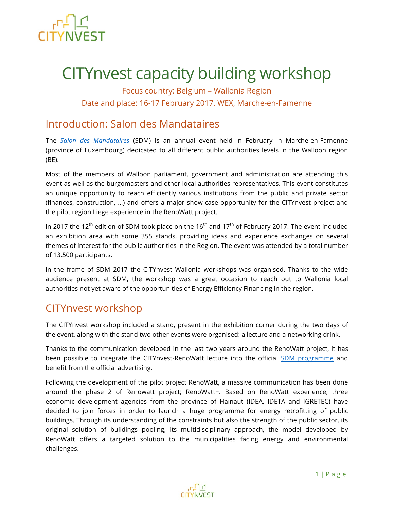

# CITYnvest capacity building workshop

Focus country: Belgium – Wallonia Region Date and place: 16-17 February 2017, WEX, Marche-en-Famenne

# Introduction: Salon des Mandataires

The *Salon des Mandataires* (SDM) is an annual event held in February in Marche-en-Famenne (province of Luxembourg) dedicated to all different public authorities levels in the Walloon region (BE).

Most of the members of Walloon parliament, government and administration are attending this event as well as the burgomasters and other local authorities representatives. This event constitutes an unique opportunity to reach efficiently various institutions from the public and private sector (finances, construction, …) and offers a major show-case opportunity for the CITYnvest project and the pilot region Liege experience in the RenoWatt project.

In 2017 the 12<sup>th</sup> edition of SDM took place on the 16<sup>th</sup> and 17<sup>th</sup> of February 2017. The event included an exhibition area with some 355 stands, providing ideas and experience exchanges on several themes of interest for the public authorities in the Region. The event was attended by a total number of 13.500 participants.

In the frame of SDM 2017 the CITYnvest Wallonia workshops was organised. Thanks to the wide audience present at SDM, the workshop was a great occasion to reach out to Wallonia local authorities not yet aware of the opportunities of Energy Efficiency Financing in the region.

# CITYnvest workshop

The CITYnvest workshop included a stand, present in the exhibition corner during the two days of the event, along with the stand two other events were organised: a lecture and a networking drink.

Thanks to the communication developed in the last two years around the RenoWatt project, it has been possible to integrate the CITYnvest-RenoWatt lecture into the official SDM programme and benefit from the official advertising.

Following the development of the pilot project RenoWatt, a massive communication has been done around the phase 2 of Renowatt project; RenoWatt+. Based on RenoWatt experience, three economic development agencies from the province of Hainaut (IDEA, IDETA and IGRETEC) have decided to join forces in order to launch a huge programme for energy retrofitting of public buildings. Through its understanding of the constraints but also the strength of the public sector, its original solution of buildings pooling, its multidisciplinary approach, the model developed by RenoWatt offers a targeted solution to the municipalities facing energy and environmental challenges.

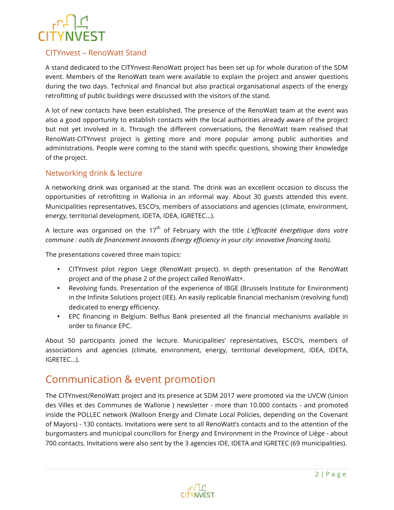### CITYnvest – RenoWatt Stand

A stand dedicated to the CITYnvest-RenoWatt project has been set up for whole duration of the SDM event. Members of the RenoWatt team were available to explain the project and answer questions during the two days. Technical and financial but also practical organisational aspects of the energy retrofitting of public buildings were discussed with the visitors of the stand.

A lot of new contacts have been established. The presence of the RenoWatt team at the event was also a good opportunity to establish contacts with the local authorities already aware of the project but not yet involved in it. Through the different conversations, the RenoWatt team realised that RenoWatt-CITYnvest project is getting more and more popular among public authorities and administrations. People were coming to the stand with specific questions, showing their knowledge of the project.

#### Networking drink & lecture

A networking drink was organised at the stand. The drink was an excellent occasion to discuss the opportunities of retrofitting in Wallonia in an informal way. About 30 guests attended this event. Municipalities representatives, ESCO's, members of associations and agencies (climate, environment, energy, territorial development, IDETA, IDEA, IGRETEC…).

A lecture was organised on the 17<sup>th</sup> of February with the title *L'efficacité énergétique dans votre commune : outils de financement innovants (Energy efficiency in your city: innovative financing tools).*

The presentations covered three main topics:

- CITYnvest pilot region Liege (RenoWatt project). In depth presentation of the RenoWatt project and of the phase 2 of the project called RenoWatt+.
- Revolving funds. Presentation of the experience of IBGE (Brussels Institute for Environment) in the Infinite Solutions project (IEE). An easily replicable financial mechanism (revolving fund) dedicated to energy efficiency.
- EPC financing in Belgium. Belfius Bank presented all the financial mechanisms available in order to finance EPC.

About 50 participants joined the lecture. Municipalities' representatives, ESCO's, members of associations and agencies (climate, environment, energy, territorial development, IDEA, IDETA, IGRETEC…).

## Communication & event promotion

The CITYnvest/RenoWatt project and its presence at SDM 2017 were promoted via the UVCW (Union des Villes et des Communes de Wallonie ) newsletter - more than 10.000 contacts - and promoted inside the POLLEC network (Walloon Energy and Climate Local Policies, depending on the Covenant of Mayors) - 130 contacts. Invitations were sent to all RenoWatt's contacts and to the attention of the burgomasters and municipal councillors for Energy and Environment in the Province of Liège - about 700 contacts. Invitations were also sent by the 3 agencies IDE, IDETA and IGRETEC (69 municipalities).